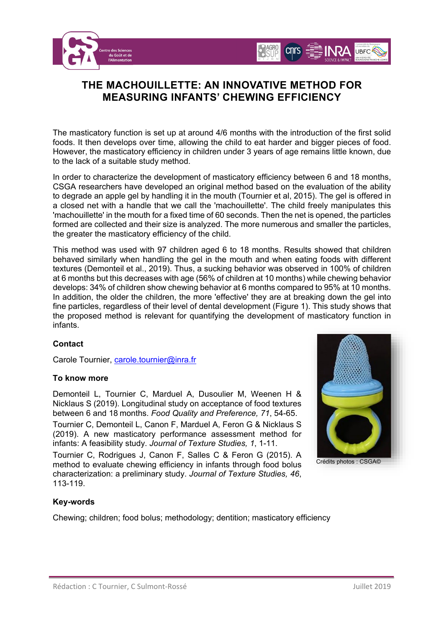



## **THE MACHOUILLETTE: AN INNOVATIVE METHOD FOR MEASURING INFANTS' CHEWING EFFICIENCY**

The masticatory function is set up at around 4/6 months with the introduction of the first solid foods. It then develops over time, allowing the child to eat harder and bigger pieces of food. However, the masticatory efficiency in children under 3 years of age remains little known, due to the lack of a suitable study method.

In order to characterize the development of masticatory efficiency between 6 and 18 months, CSGA researchers have developed an original method based on the evaluation of the ability to degrade an apple gel by handling it in the mouth (Tournier et al, 2015). The gel is offered in a closed net with a handle that we call the 'machouillette'. The child freely manipulates this 'machouillette' in the mouth for a fixed time of 60 seconds. Then the net is opened, the particles formed are collected and their size is analyzed. The more numerous and smaller the particles, the greater the masticatory efficiency of the child.

This method was used with 97 children aged 6 to 18 months. Results showed that children behaved similarly when handling the gel in the mouth and when eating foods with different textures (Demonteil et al., 2019). Thus, a sucking behavior was observed in 100% of children at 6 months but this decreases with age (56% of children at 10 months) while chewing behavior develops: 34% of children show chewing behavior at 6 months compared to 95% at 10 months. In addition, the older the children, the more 'effective' they are at breaking down the gel into fine particles, regardless of their level of dental development (Figure 1). This study shows that the proposed method is relevant for quantifying the development of masticatory function in infants.

## **Contact**

Carole Tournier, [carole.tournier@inra.fr](mailto:carole.tournier@inra.fr)

#### **To know more**

Demonteil L, Tournier C, Marduel A, Dusoulier M, Weenen H & Nicklaus S (2019). Longitudinal study on acceptance of food textures between 6 and 18 months. *Food Quality and Preference, 71*, 54-65.

Tournier C, Demonteil L, Canon F, Marduel A, Feron G & Nicklaus S (2019). A new masticatory performance assessment method for infants: A feasibility study. *Journal of Texture Studies, 1*, 1-11.

Tournier C, Rodrigues J, Canon F, Salles C & Feron G (2015). A method to evaluate chewing efficiency in infants through food bolus characterization: a preliminary study. *Journal of Texture Studies, 46*, 113-119.



## **Key-words**

Chewing; children; food bolus; methodology; dentition; masticatory efficiency